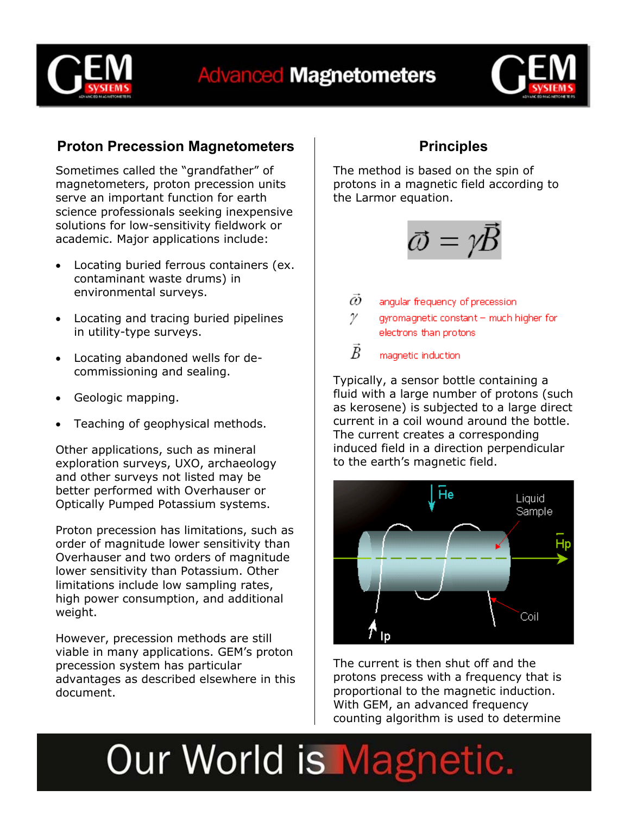



### **Proton Precession Magnetometers**

Sometimes called the "grandfather" of magnetometers, proton precession units serve an important function for earth science professionals seeking inexpensive solutions for low-sensitivity fieldwork or academic. Major applications include:

- Locating buried ferrous containers (ex. contaminant waste drums) in environmental surveys.
- Locating and tracing buried pipelines in utility-type surveys.
- Locating abandoned wells for decommissioning and sealing.
- Geologic mapping.
- Teaching of geophysical methods.

Other applications, such as mineral exploration surveys, UXO, archaeology and other surveys not listed may be better performed with Overhauser or Optically Pumped Potassium systems.

Proton precession has limitations, such as order of magnitude lower sensitivity than Overhauser and two orders of magnitude lower sensitivity than Potassium. Other limitations include low sampling rates, high power consumption, and additional weight.

However, precession methods are still viable in many applications. GEM's proton precession system has particular advantages as described elsewhere in this document.

### **Principles**

The method is based on the spin of protons in a magnetic field according to the Larmor equation.



- $\vec{\omega}$ angular frequency of precession.
- γ gyromagnetic constant - much higher for electrons than protons

B magnetic induction

Typically, a sensor bottle containing a fluid with a large number of protons (such as kerosene) is subjected to a large direct current in a coil wound around the bottle. The current creates a corresponding induced field in a direction perpendicular to the earth's magnetic field.



The current is then shut off and the protons precess with a frequency that is proportional to the magnetic induction. With GEM, an advanced frequency counting algorithm is used to determine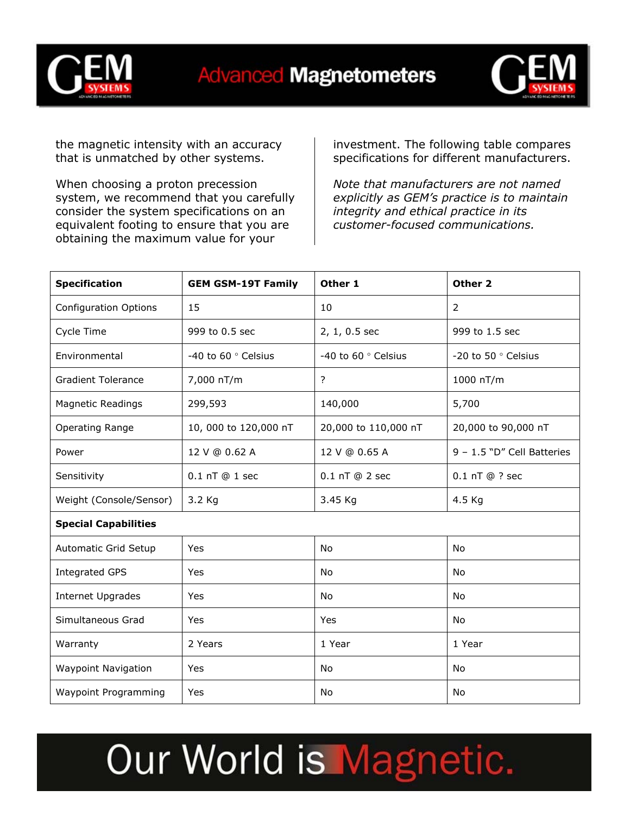



the magnetic intensity with an accuracy that is unmatched by other systems.

When choosing a proton precession system, we recommend that you carefully consider the system specifications on an equivalent footing to ensure that you are obtaining the maximum value for your

investment. The following table compares specifications for different manufacturers.

*Note that manufacturers are not named explicitly as GEM's practice is to maintain integrity and ethical practice in its customer-focused communications.*

| <b>Specification</b>         | <b>GEM GSM-19T Family</b> | Other 1              | Other 2                    |  |  |  |  |  |
|------------------------------|---------------------------|----------------------|----------------------------|--|--|--|--|--|
| <b>Configuration Options</b> | 15                        | 10                   | 2                          |  |  |  |  |  |
| Cycle Time                   | 999 to 0.5 sec            | 2, 1, 0.5 sec        | 999 to 1.5 sec             |  |  |  |  |  |
| Environmental                | -40 to 60 ° Celsius       | -40 to 60 ° Celsius  | -20 to 50 ° Celsius        |  |  |  |  |  |
| <b>Gradient Tolerance</b>    | 7,000 nT/m                | ?                    | 1000 nT/m                  |  |  |  |  |  |
| <b>Magnetic Readings</b>     | 299,593                   | 140,000              | 5,700                      |  |  |  |  |  |
| Operating Range              | 10, 000 to 120,000 nT     | 20,000 to 110,000 nT | 20,000 to 90,000 nT        |  |  |  |  |  |
| Power                        | 12 V @ 0.62 A             | 12 V @ 0.65 A        | 9 - 1.5 "D" Cell Batteries |  |  |  |  |  |
| Sensitivity                  | 0.1 nT @ 1 sec            | 0.1 nT @ 2 sec       | $0.1$ nT $@$ ? sec         |  |  |  |  |  |
| Weight (Console/Sensor)      | 3.2 Kg                    | 3.45 Kg              | 4.5 Kg                     |  |  |  |  |  |
| <b>Special Capabilities</b>  |                           |                      |                            |  |  |  |  |  |
| Automatic Grid Setup         | Yes                       | <b>No</b>            | <b>No</b>                  |  |  |  |  |  |
| <b>Integrated GPS</b>        | Yes                       | No                   | <b>No</b>                  |  |  |  |  |  |
| Internet Upgrades            | Yes                       | No                   | No                         |  |  |  |  |  |
| Simultaneous Grad            | Yes                       | Yes                  | No                         |  |  |  |  |  |
| Warranty                     | 2 Years                   | 1 Year               | 1 Year                     |  |  |  |  |  |
| <b>Waypoint Navigation</b>   | Yes                       | No                   | <b>No</b>                  |  |  |  |  |  |
| <b>Waypoint Programming</b>  | Yes                       | No                   | No                         |  |  |  |  |  |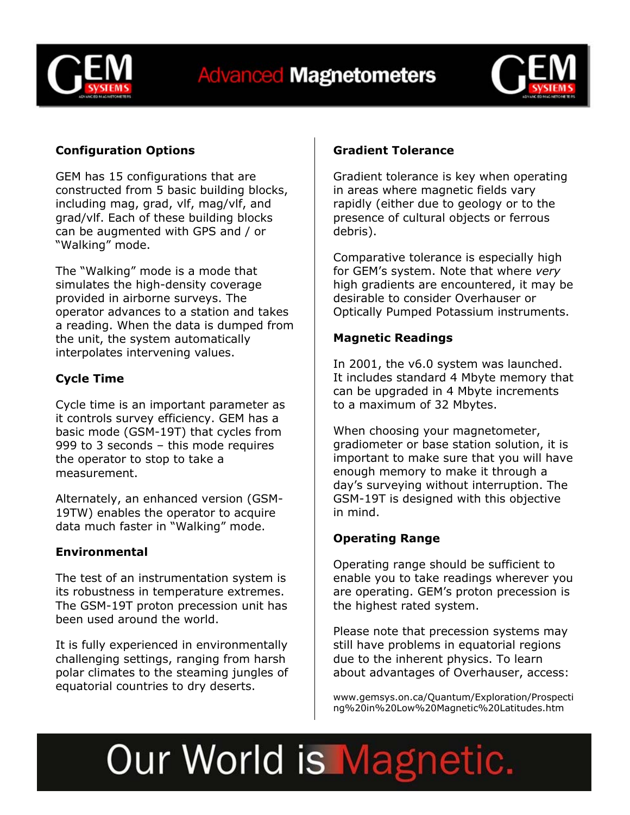



### **Configuration Options**

GEM has 15 configurations that are constructed from 5 basic building blocks, including mag, grad, vlf, mag/vlf, and grad/vlf. Each of these building blocks can be augmented with GPS and / or "Walking" mode.

The "Walking" mode is a mode that simulates the high-density coverage provided in airborne surveys. The operator advances to a station and takes a reading. When the data is dumped from the unit, the system automatically interpolates intervening values.

### **Cycle Time**

Cycle time is an important parameter as it controls survey efficiency. GEM has a basic mode (GSM-19T) that cycles from 999 to 3 seconds – this mode requires the operator to stop to take a measurement.

Alternately, an enhanced version (GSM-19TW) enables the operator to acquire data much faster in "Walking" mode.

#### **Environmental**

The test of an instrumentation system is its robustness in temperature extremes. The GSM-19T proton precession unit has been used around the world.

It is fully experienced in environmentally challenging settings, ranging from harsh polar climates to the steaming jungles of equatorial countries to dry deserts.

### **Gradient Tolerance**

Gradient tolerance is key when operating in areas where magnetic fields vary rapidly (either due to geology or to the presence of cultural objects or ferrous debris).

Comparative tolerance is especially high for GEM's system. Note that where *very* high gradients are encountered, it may be desirable to consider Overhauser or Optically Pumped Potassium instruments.

### **Magnetic Readings**

In 2001, the v6.0 system was launched. It includes standard 4 Mbyte memory that can be upgraded in 4 Mbyte increments to a maximum of 32 Mbytes.

When choosing your magnetometer, gradiometer or base station solution, it is important to make sure that you will have enough memory to make it through a day's surveying without interruption. The GSM-19T is designed with this objective in mind.

#### **Operating Range**

Operating range should be sufficient to enable you to take readings wherever you are operating. GEM's proton precession is the highest rated system.

Please note that precession systems may still have problems in equatorial regions due to the inherent physics. To learn about advantages of Overhauser, access:

www.gemsys.on.ca/Quantum/Exploration/Prospecti ng%20in%20Low%20Magnetic%20Latitudes.htm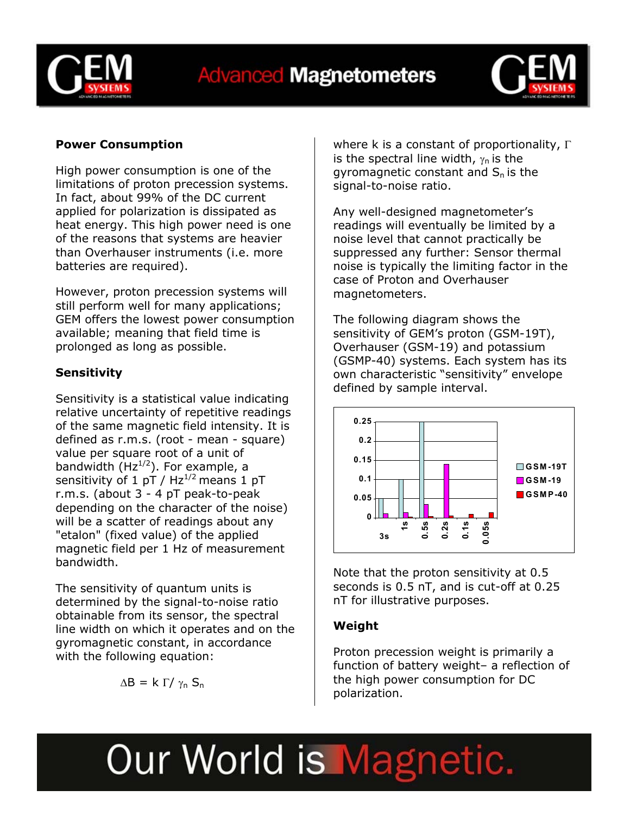



### **Power Consumption**

High power consumption is one of the limitations of proton precession systems. In fact, about 99% of the DC current applied for polarization is dissipated as heat energy. This high power need is one of the reasons that systems are heavier than Overhauser instruments (i.e. more batteries are required).

However, proton precession systems will still perform well for many applications; GEM offers the lowest power consumption available; meaning that field time is prolonged as long as possible.

### **Sensitivity**

Sensitivity is a statistical value indicating relative uncertainty of repetitive readings of the same magnetic field intensity. It is defined as r.m.s. (root - mean - square) value per square root of a unit of bandwidth  $(Hz^{1/2})$ . For example, a sensitivity of 1 pT /  $Hz^{1/2}$  means 1 pT r.m.s. (about 3 - 4 pT peak-to-peak depending on the character of the noise) will be a scatter of readings about any "etalon" (fixed value) of the applied magnetic field per 1 Hz of measurement bandwidth.

The sensitivity of quantum units is determined by the signal-to-noise ratio obtainable from its sensor, the spectral line width on which it operates and on the gyromagnetic constant, in accordance with the following equation:

$$
\Delta B = k \; \Gamma / \; \gamma_n \; S_n
$$

where k is a constant of proportionality,  $\Gamma$ is the spectral line width,  $\gamma_n$  is the gyromagnetic constant and  $S_n$  is the signal-to-noise ratio.

Any well-designed magnetometer's readings will eventually be limited by a noise level that cannot practically be suppressed any further: Sensor thermal noise is typically the limiting factor in the case of Proton and Overhauser magnetometers.

The following diagram shows the sensitivity of GEM's proton (GSM-19T), Overhauser (GSM-19) and potassium (GSMP-40) systems. Each system has its own characteristic "sensitivity" envelope defined by sample interval.



Note that the proton sensitivity at 0.5 seconds is 0.5 nT, and is cut-off at 0.25 nT for illustrative purposes.

#### **Weight**

Proton precession weight is primarily a function of battery weight– a reflection of the high power consumption for DC polarization.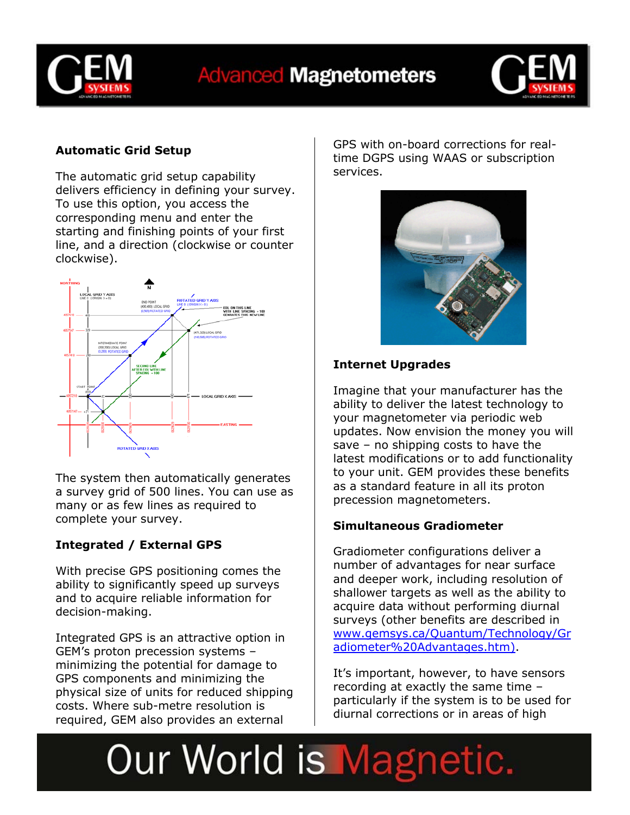



### **Automatic Grid Setup**

The automatic grid setup capability delivers efficiency in defining your survey. To use this option, you access the corresponding menu and enter the starting and finishing points of your first line, and a direction (clockwise or counter clockwise).



The system then automatically generates a survey grid of 500 lines. You can use as many or as few lines as required to complete your survey.

### **Integrated / External GPS**

With precise GPS positioning comes the ability to significantly speed up surveys and to acquire reliable information for decision-making.

Integrated GPS is an attractive option in GEM's proton precession systems – minimizing the potential for damage to GPS components and minimizing the physical size of units for reduced shipping costs. Where sub-metre resolution is required, GEM also provides an external

GPS with on-board corrections for realtime DGPS using WAAS or subscription services.



### **Internet Upgrades**

Imagine that your manufacturer has the ability to deliver the latest technology to your magnetometer via periodic web updates. Now envision the money you will save – no shipping costs to have the latest modifications or to add functionality to your unit. GEM provides these benefits as a standard feature in all its proton precession magnetometers.

### **Simultaneous Gradiometer**

Gradiometer configurations deliver a number of advantages for near surface and deeper work, including resolution of shallower targets as well as the ability to acquire data without performing diurnal surveys (other benefits are described in www.gemsys.ca/Quantum/Technology/Gr adiometer%20Advantages.htm).

It's important, however, to have sensors recording at exactly the same time – particularly if the system is to be used for diurnal corrections or in areas of high